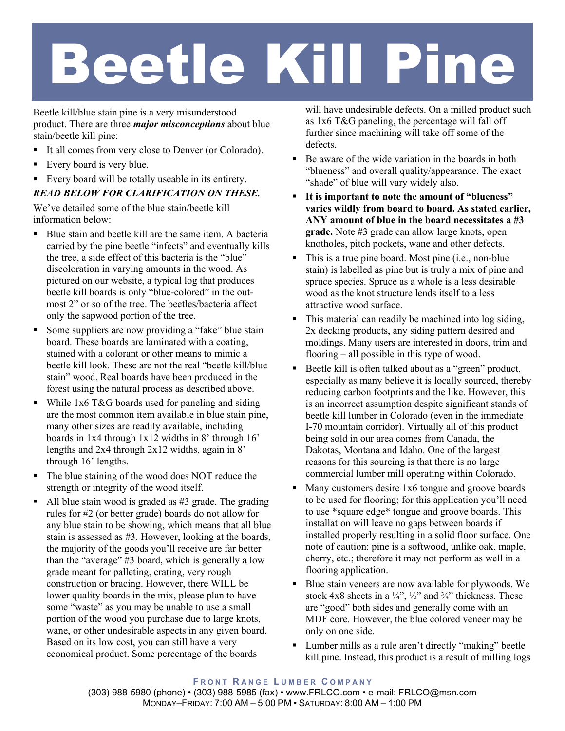## Beetle Kill Pine

Beetle kill/blue stain pine is a very misunderstood product. There are three *major misconceptions* about blue stain/beetle kill pine:

- It all comes from very close to Denver (or Colorado).
- Every board is very blue.
- Every board will be totally useable in its entirety.

## *READ BELOW FOR CLARIFICATION ON THESE.*

We've detailed some of the blue stain/beetle kill information below:

- Blue stain and beetle kill are the same item. A bacteria carried by the pine beetle "infects" and eventually kills the tree, a side effect of this bacteria is the "blue" discoloration in varying amounts in the wood. As pictured on our website, a typical log that produces beetle kill boards is only "blue-colored" in the outmost 2" or so of the tree. The beetles/bacteria affect only the sapwood portion of the tree.
- Some suppliers are now providing a "fake" blue stain board. These boards are laminated with a coating, stained with a colorant or other means to mimic a beetle kill look. These are not the real "beetle kill/blue stain" wood. Real boards have been produced in the forest using the natural process as described above.
- While  $1x6$  T&G boards used for paneling and siding are the most common item available in blue stain pine, many other sizes are readily available, including boards in 1x4 through 1x12 widths in 8' through 16' lengths and 2x4 through 2x12 widths, again in 8' through 16' lengths.
- The blue staining of the wood does NOT reduce the strength or integrity of the wood itself.
- $\blacksquare$  All blue stain wood is graded as #3 grade. The grading rules for #2 (or better grade) boards do not allow for any blue stain to be showing, which means that all blue stain is assessed as #3. However, looking at the boards, the majority of the goods you'll receive are far better than the "average" #3 board, which is generally a low grade meant for palleting, crating, very rough construction or bracing. However, there WILL be lower quality boards in the mix, please plan to have some "waste" as you may be unable to use a small portion of the wood you purchase due to large knots, wane, or other undesirable aspects in any given board. Based on its low cost, you can still have a very economical product. Some percentage of the boards

will have undesirable defects. On a milled product such as 1x6 T&G paneling, the percentage will fall off further since machining will take off some of the defects.

- Be aware of the wide variation in the boards in both "blueness" and overall quality/appearance. The exact "shade" of blue will vary widely also.
- **It is important to note the amount of "blueness" varies wildly from board to board. As stated earlier, ANY amount of blue in the board necessitates a #3 grade.** Note #3 grade can allow large knots, open knotholes, pitch pockets, wane and other defects.
- This is a true pine board. Most pine (i.e., non-blue stain) is labelled as pine but is truly a mix of pine and spruce species. Spruce as a whole is a less desirable wood as the knot structure lends itself to a less attractive wood surface.
- This material can readily be machined into log siding, 2x decking products, any siding pattern desired and moldings. Many users are interested in doors, trim and flooring – all possible in this type of wood.
- Beetle kill is often talked about as a "green" product, especially as many believe it is locally sourced, thereby reducing carbon footprints and the like. However, this is an incorrect assumption despite significant stands of beetle kill lumber in Colorado (even in the immediate I-70 mountain corridor). Virtually all of this product being sold in our area comes from Canada, the Dakotas, Montana and Idaho. One of the largest reasons for this sourcing is that there is no large commercial lumber mill operating within Colorado.
- Many customers desire 1x6 tongue and groove boards to be used for flooring; for this application you'll need to use \*square edge\* tongue and groove boards. This installation will leave no gaps between boards if installed properly resulting in a solid floor surface. One note of caution: pine is a softwood, unlike oak, maple, cherry, etc.; therefore it may not perform as well in a flooring application.
- Blue stain veneers are now available for plywoods. We stock 4x8 sheets in a  $\frac{1}{4}$ ,  $\frac{1}{2}$  and  $\frac{3}{4}$  thickness. These are "good" both sides and generally come with an MDF core. However, the blue colored veneer may be only on one side.
- Lumber mills as a rule aren't directly "making" beetle kill pine. Instead, this product is a result of milling logs